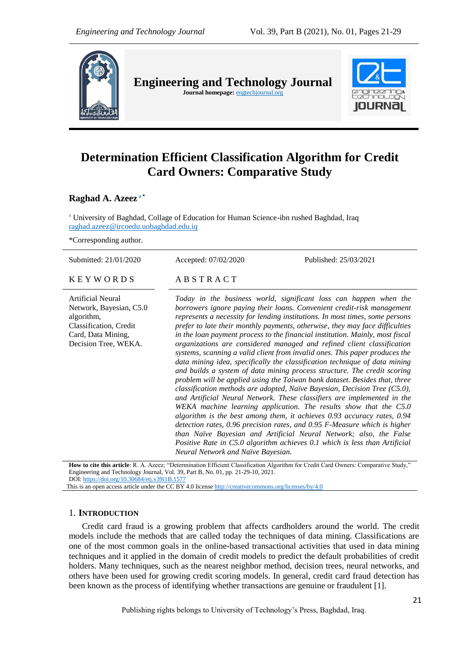

**Engineering and Technology Journal Journal homepage:** engtechjournal.org



# **Determination Efficient Classification Algorithm for Credit Card Owners: Comparative Study**

**Raghad A. Azeez <sup>a</sup> \***

<sup>a</sup> University of Baghdad, Collage of Education for Human Science-ibn rushed Baghdad, Iraq [raghad.azeez@ircoedu.uobaghdad.edu.iq](mailto:raghad.azeez@ircoedu.uobaghdad.edu.iq)

\*Corresponding author.

| Submitted: 21/01/2020                                                                                                                     | Accepted: 07/02/2020               | Published: 25/03/2021                                                                                                                                                                                                                                                                                                                                                                                                                                                                                                                                                                                                                                                                                                                                                                                                                                                                                                                                                                                                                                                                                                                                                                                                                                                                                                                  |
|-------------------------------------------------------------------------------------------------------------------------------------------|------------------------------------|----------------------------------------------------------------------------------------------------------------------------------------------------------------------------------------------------------------------------------------------------------------------------------------------------------------------------------------------------------------------------------------------------------------------------------------------------------------------------------------------------------------------------------------------------------------------------------------------------------------------------------------------------------------------------------------------------------------------------------------------------------------------------------------------------------------------------------------------------------------------------------------------------------------------------------------------------------------------------------------------------------------------------------------------------------------------------------------------------------------------------------------------------------------------------------------------------------------------------------------------------------------------------------------------------------------------------------------|
| <b>KEYWORDS</b>                                                                                                                           | ABSTRACT                           |                                                                                                                                                                                                                                                                                                                                                                                                                                                                                                                                                                                                                                                                                                                                                                                                                                                                                                                                                                                                                                                                                                                                                                                                                                                                                                                                        |
| <b>Artificial Neural</b><br>Network, Bayesian, C5.0<br>algorithm,<br>Classification, Credit<br>Card, Data Mining,<br>Decision Tree, WEKA. | Neural Network and Naïve Bayesian. | Today in the business world, significant loss can happen when the<br>borrowers ignore paying their loans. Convenient credit-risk management<br>represents a necessity for lending institutions. In most times, some persons<br>prefer to late their monthly payments, otherwise, they may face difficulties<br>in the loan payment process to the financial institution. Mainly, most fiscal<br>organizations are considered managed and refined client classification<br>systems, scanning a valid client from invalid ones. This paper produces the<br>data mining idea, specifically the classification technique of data mining<br>and builds a system of data mining process structure. The credit scoring<br>problem will be applied using the Taiwan bank dataset. Besides that, three<br>classification methods are adopted, Naïve Bayesian, Decision Tree (C5.0),<br>and Artificial Neural Network. These classifiers are implemented in the<br>WEKA machine learning application. The results show that the C5.0<br>algorithm is the best among them, it achieves 0.93 accuracy rates, 0.94<br>detection rates, 0.96 precision rates, and 0.95 F-Measure which is higher<br>than Naïve Bayesian and Artificial Neural Network; also, the False<br>Positive Rate in C5.0 algorithm achieves 0.1 which is less than Artificial |
|                                                                                                                                           |                                    | How to cite this article: R. A. Azeez; "Determination Efficient Classification Algorithm for Credit Card Owners: Comparative Study,"                                                                                                                                                                                                                                                                                                                                                                                                                                                                                                                                                                                                                                                                                                                                                                                                                                                                                                                                                                                                                                                                                                                                                                                                   |

Engineering and Technology Journal, Vol. 39, Part B, No. 01, pp. 21-29-10, 2021. DOI: <https://doi.org/10.30684/etj.v39i1B.1577>

This is an open access article under the CC BY 4.0 licens[e http://creativecommons.org/licenses/by/4.0](http://creativecommons.org/licenses/by/4.0)

# 1. **INTRODUCTION**

Credit card fraud is a growing problem that affects cardholders around the world. The credit models include the methods that are called today the techniques of data mining. Classifications are one of the most common goals in the online-based transactional activities that used in data mining techniques and it applied in the domain of credit models to predict the default probabilities of credit holders. Many techniques, such as the nearest neighbor method, decision trees, neural networks, and others have been used for growing credit scoring models. In general, credit card fraud detection has been known as the process of identifying whether transactions are genuine or fraudulent [1].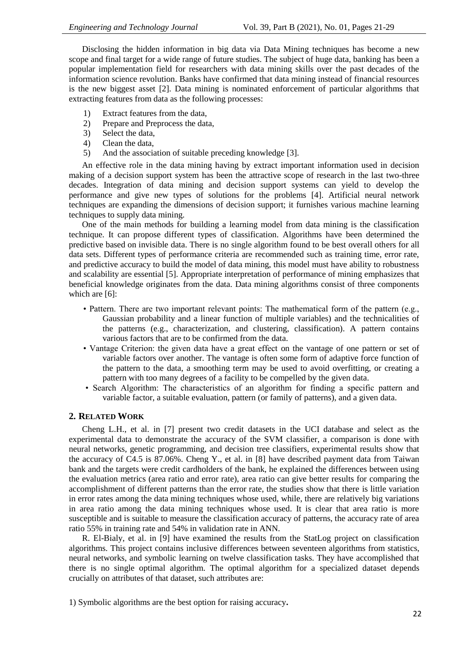Disclosing the hidden information in big data via Data Mining techniques has become a new scope and final target for a wide range of future studies. The subject of huge data, banking has been a popular implementation field for researchers with data mining skills over the past decades of the information science revolution. Banks have confirmed that data mining instead of financial resources is the new biggest asset [2]. Data mining is nominated enforcement of particular algorithms that extracting features from data as the following processes:

- 1) Extract features from the data,
- 2) Prepare and Preprocess the data,
- 3) Select the data,
- 4) Clean the data,
- 5) And the association of suitable preceding knowledge [3].

An effective role in the data mining having by extract important information used in decision making of a decision support system has been the attractive scope of research in the last two-three decades. Integration of data mining and decision support systems can yield to develop the performance and give new types of solutions for the problems [4]. Artificial neural network techniques are expanding the dimensions of decision support; it furnishes various machine learning techniques to supply data mining.

One of the main methods for building a learning model from data mining is the classification technique. It can propose different types of classification. Algorithms have been determined the predictive based on invisible data. There is no single algorithm found to be best overall others for all data sets. Different types of performance criteria are recommended such as training time, error rate, and predictive accuracy to build the model of data mining, this model must have ability to robustness and scalability are essential [5]. Appropriate interpretation of performance of mining emphasizes that beneficial knowledge originates from the data. Data mining algorithms consist of three components which are [6]:

- Pattern. There are two important relevant points: The mathematical form of the pattern (e.g., Gaussian probability and a linear function of multiple variables) and the technicalities of the patterns (e.g., characterization, and clustering, classification). A pattern contains various factors that are to be confirmed from the data.
- Vantage Criterion: the given data have a great effect on the vantage of one pattern or set of variable factors over another. The vantage is often some form of adaptive force function of the pattern to the data, a smoothing term may be used to avoid overfitting, or creating a pattern with too many degrees of a facility to be compelled by the given data.
- Search Algorithm: The characteristics of an algorithm for finding a specific pattern and variable factor, a suitable evaluation, pattern (or family of patterns), and a given data.

## **2. RELATED WORK**

Cheng L.H., et al. in [7] present two credit datasets in the UCI database and select as the experimental data to demonstrate the accuracy of the SVM classifier, a comparison is done with neural networks, genetic programming, and decision tree classifiers, experimental results show that the accuracy of C4.5 is 87.06%. Cheng Y., et al. in [8] have described payment data from Taiwan bank and the targets were credit cardholders of the bank, he explained the differences between using the evaluation metrics (area ratio and error rate), area ratio can give better results for comparing the accomplishment of different patterns than the error rate, the studies show that there is little variation in error rates among the data mining techniques whose used, while, there are relatively big variations in area ratio among the data mining techniques whose used. It is clear that area ratio is more susceptible and is suitable to measure the classification accuracy of patterns, the accuracy rate of area ratio 55% in training rate and 54% in validation rate in ANN.

R. El-Bialy, et al. in [9] have examined the results from the StatLog project on classification algorithms. This project contains inclusive differences between seventeen algorithms from statistics, neural networks, and symbolic learning on twelve classification tasks. They have accomplished that there is no single optimal algorithm. The optimal algorithm for a specialized dataset depends crucially on attributes of that dataset, such attributes are:

1) Symbolic algorithms are the best option for raising accuracy**.**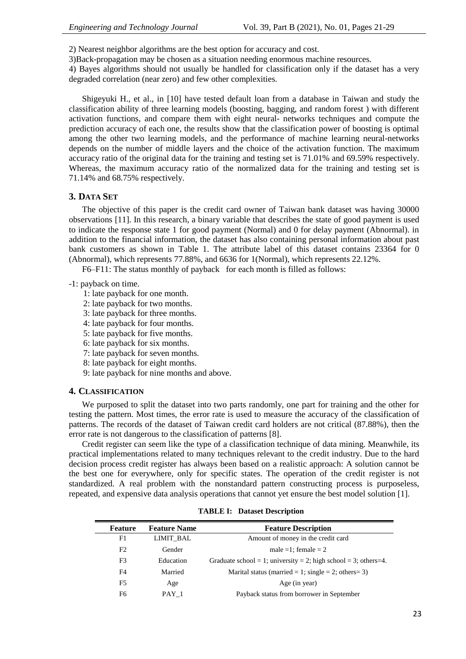- 2) Nearest neighbor algorithms are the best option for accuracy and cost.
- 3)Back-propagation may be chosen as a situation needing enormous machine resources.

4) Bayes algorithms should not usually be handled for classification only if the dataset has a very degraded correlation (near zero) and few other complexities.

Shigeyuki H., et al., in [10] have tested default loan from a database in Taiwan and study the classification ability of three learning models (boosting, bagging, and random forest ) with different activation functions, and compare them with eight neural- networks techniques and compute the prediction accuracy of each one, the results show that the classification power of boosting is optimal among the other two learning models, and the performance of machine learning neural-networks depends on the number of middle layers and the choice of the activation function. The maximum accuracy ratio of the original data for the training and testing set is 71.01% and 69.59% respectively. Whereas, the maximum accuracy ratio of the normalized data for the training and testing set is 71.14% and 68.75% respectively.

# **3. DATA SET**

The objective of this paper is the credit card owner of Taiwan bank dataset was having 30000 observations [11]. In this research, a binary variable that describes the state of good payment is used to indicate the response state 1 for good payment (Normal) and 0 for delay payment (Abnormal). in addition to the financial information, the dataset has also containing personal information about past bank customers as shown in Table 1. The attribute label of this dataset contains 23364 for 0 (Abnormal), which represents 77.88%, and 6636 for 1(Normal), which represents 22.12%.

F6–F11: The status monthly of payback for each month is filled as follows:

# -1: payback on time.

- 1: late payback for one month.
- 2: late payback for two months.
- 3: late payback for three months.
- 4: late payback for four months.
- 5: late payback for five months.
- 6: late payback for six months.
- 7: late payback for seven months.
- 8: late payback for eight months.
- 9: late payback for nine months and above.

## **4. CLASSIFICATION**

We purposed to split the dataset into two parts randomly, one part for training and the other for testing the pattern. Most times, the error rate is used to measure the accuracy of the classification of patterns. The records of the dataset of Taiwan credit card holders are not critical (87.88%), then the error rate is not dangerous to the classification of patterns [8].

Credit register can seem like the type of a classification technique of data mining. Meanwhile, its practical implementations related to many techniques relevant to the credit industry. Due to the hard decision process credit register has always been based on a realistic approach: A solution cannot be the best one for everywhere, only for specific states. The operation of the credit register is not standardized. A real problem with the nonstandard pattern constructing process is purposeless, repeated, and expensive data analysis operations that cannot yet ensure the best model solution [1].

| Feature | <b>Feature Name</b> | <b>Feature Description</b>                                      |
|---------|---------------------|-----------------------------------------------------------------|
| F1      | <b>LIMIT BAL</b>    | Amount of money in the credit card                              |
| F2      | Gender              | male = 1; female = $2$                                          |
| F3      | Education           | Graduate school = 1; university = 2; high school = 3; others=4. |
| F4      | Married             | Marital status (married = 1; single = 2; others= 3)             |
| F5      | Age                 | Age (in year)                                                   |
| F6      | PAY 1               | Payback status from borrower in September                       |

**TABLE I: Dataset Description**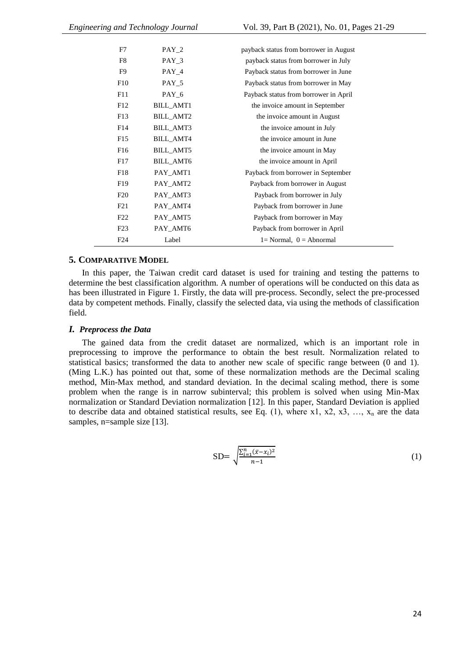| F7              | $PAY_2$          | payback status from borrower in August |
|-----------------|------------------|----------------------------------------|
| F8              | $PAY_3$          | payback status from borrower in July   |
| F9              | $PAY_4$          | Payback status from borrower in June   |
| F10             | $PAY_5$          | Payback status from borrower in May    |
| F11             | $PAY_6$          | Payback status from borrower in April  |
| F12             | BILL_AMT1        | the invoice amount in September        |
| F13             | BILL_AMT2        | the invoice amount in August           |
| F14             | <b>BILL_AMT3</b> | the invoice amount in July             |
| F15             | <b>BILL_AMT4</b> | the invoice amount in June             |
| F <sub>16</sub> | <b>BILL_AMT5</b> | the invoice amount in May              |
| F17             | <b>BILL_AMT6</b> | the invoice amount in April            |
| F18             | PAY_AMT1         | Payback from borrower in September     |
| F <sub>19</sub> | PAY AMT2         | Payback from borrower in August        |
| F20             | PAY_AMT3         | Payback from borrower in July          |
| F21             | PAY_AMT4         | Payback from borrower in June          |
| F22             | PAY_AMT5         | Payback from borrower in May           |
| F23             | PAY_AMT6         | Payback from borrower in April         |
| F24             | Label            | $l = Normal$ , $0 = Abnormal$          |

#### **5. COMPARATIVE MODEL**

In this paper, the Taiwan credit card dataset is used for training and testing the patterns to determine the best classification algorithm. A number of operations will be conducted on this data as has been illustrated in Figure 1. Firstly, the data will pre-process. Secondly, select the pre-processed data by competent methods. Finally, classify the selected data, via using the methods of classification field.

## *I. Preprocess the Data*

The gained data from the credit dataset are normalized, which is an important role in preprocessing to improve the performance to obtain the best result. Normalization related to statistical basics; transformed the data to another new scale of specific range between (0 and 1). (Ming L.K.) has pointed out that, some of these normalization methods are the Decimal scaling method, Min-Max method, and standard deviation. In the decimal scaling method, there is some problem when the range is in narrow subinterval; this problem is solved when using Min-Max normalization or Standard Deviation normalization [12]. In this paper, Standard Deviation is applied to describe data and obtained statistical results, see Eq.  $(1)$ , where x1, x2, x3, ..., x<sub>n</sub> are the data samples, n=sample size [13].

SD=
$$
\sqrt{\frac{\sum_{i=1}^{n} (\bar{x} - x_i)^2}{n-1}}
$$
(1)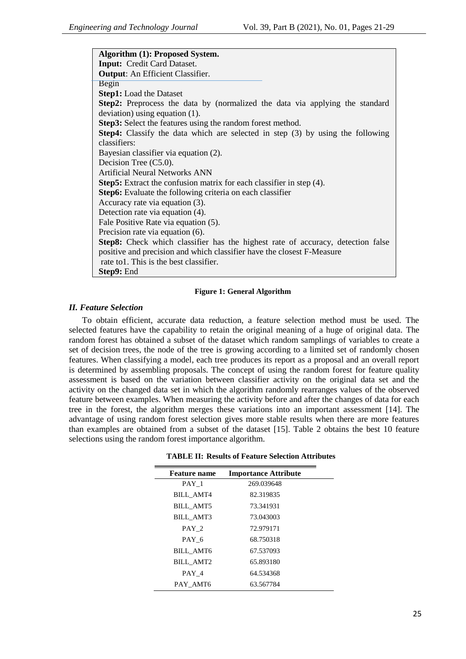**Algorithm (1): Proposed System. Input:** Credit Card Dataset. **Output**: An Efficient Classifier. Begin **Step1:** Load the Dataset **Step2:** Preprocess the data by (normalized the data via applying the standard deviation) using equation (1). **Step3:** Select the features using the random forest method. **Step4:** Classify the data which are selected in step (3) by using the following classifiers: Bayesian classifier via equation (2). Decision Tree (C5.0). Artificial Neural Networks ANN **Step5:** Extract the confusion matrix for each classifier in step (4). **Step6:** Evaluate the following criteria on each classifier Accuracy rate via equation (3). Detection rate via equation (4). Fale Positive Rate via equation (5). Precision rate via equation (6). **Step8:** Check which classifier has the highest rate of accuracy, detection false positive and precision and which classifier have the closest F-Measure rate to1. This is the best classifier. **Step9:** End

#### **Figure 1: General Algorithm**

## *II. Feature Selection*

To obtain efficient, accurate data reduction, a feature selection method must be used. The selected features have the capability to retain the original meaning of a huge of original data. The random forest has obtained a subset of the dataset which random samplings of variables to create a set of decision trees, the node of the tree is growing according to a limited set of randomly chosen features. When classifying a model, each tree produces its report as a proposal and an overall report is determined by assembling proposals. The concept of using the random forest for feature quality assessment is based on the variation between classifier activity on the original data set and the activity on the changed data set in which the algorithm randomly rearranges values of the observed feature between examples. When measuring the activity before and after the changes of data for each tree in the forest, the algorithm merges these variations into an important assessment [14]. The advantage of using random forest selection gives more stable results when there are more features than examples are obtained from a subset of the dataset [15]. Table 2 obtains the best 10 feature selections using the random forest importance algorithm.

| <b>Feature name</b> | <b>Importance Attribute</b> |  |
|---------------------|-----------------------------|--|
| PAY 1               | 269.039648                  |  |
| BILL AMT4           | 82.319835                   |  |
| <b>BILL AMT5</b>    | 73.341931                   |  |
| <b>BILL AMT3</b>    | 73.043003                   |  |
| PAY 2               | 72.979171                   |  |
| PAY 6               | 68.750318                   |  |
| <b>BILL AMT6</b>    | 67.537093                   |  |
| <b>BILL AMT2</b>    | 65.893180                   |  |
| PAY 4               | 64.534368                   |  |
| PAY AMT6            | 63.567784                   |  |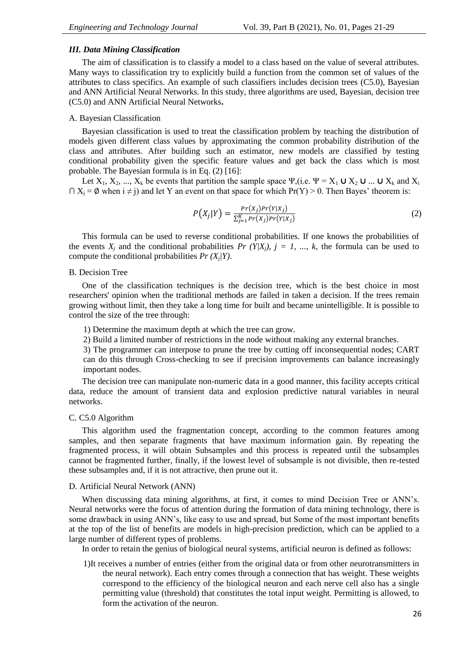## *III. Data Mining Classification*

The aim of classification is to classify a model to a class based on the value of several attributes. Many ways to classification try to explicitly build a function from the common set of values of the attributes to class specifics. An example of such classifiers includes decision trees (C5.0), Bayesian and ANN Artificial Neural Networks. In this study, three algorithms are used, Bayesian, decision tree (C5.0) and ANN Artificial Neural Networks**.**

#### A. Bayesian Classification

Bayesian classification is used to treat the classification problem by teaching the distribution of models given different class values by approximating the common probability distribution of the class and attributes. After building such an estimator, new models are classified by testing conditional probability given the specific feature values and get back the class which is most probable. The Bayesian formula is in Eq. (2) [16]:

Let  $X_1, X_2, ..., X_k$  be events that partition the sample space  $\Psi$ , (i.e.  $\Psi = X_1 \cup X_2 \cup ... \cup X_k$  and  $X_i$  $\cap X_i = \emptyset$  when  $i \neq j$  and let Y an event on that space for which  $Pr(Y) > 0$ . Then Bayes' theorem is:

$$
P(X_j|Y) = \frac{Pr(X_j)Pr(Y|X_j)}{\sum_{j=1}^{K} Pr(X_j)Pr(Y|X_j)}
$$
\n<sup>(2)</sup>

This formula can be used to reverse conditional probabilities. If one knows the probabilities of the events  $X_i$  and the conditional probabilities  $Pr(Y|X_i)$ ,  $j = 1, ..., k$ , the formula can be used to compute the conditional probabilities  $Pr(X_j|Y)$ .

#### B. Decision Tree

One of the classification techniques is the decision tree, which is the best choice in most researchers' opinion when the traditional methods are failed in taken a decision. If the trees remain growing without limit, then they take a long time for built and became unintelligible. It is possible to control the size of the tree through:

1) Determine the maximum depth at which the tree can grow.

2) Build a limited number of restrictions in the node without making any external branches.

3) The programmer can interpose to prune the tree by cutting off inconsequential nodes; CART can do this through Cross-checking to see if precision improvements can balance increasingly important nodes.

The decision tree can manipulate non-numeric data in a good manner, this facility accepts critical data, reduce the amount of transient data and explosion predictive natural variables in neural networks.

#### C. C5.0 Algorithm

This algorithm used the fragmentation concept, according to the common features among samples, and then separate fragments that have maximum information gain. By repeating the fragmented process, it will obtain Subsamples and this process is repeated until the subsamples cannot be fragmented further, finally, if the lowest level of subsample is not divisible, then re-tested these subsamples and, if it is not attractive, then prune out it.

#### D. Artificial Neural Network (ANN)

When discussing data mining algorithms, at first, it comes to mind Decision Tree or ANN's. Neural networks were the focus of attention during the formation of data mining technology, there is some drawback in using ANN's, like easy to use and spread, but Some of the most important benefits at the top of the list of benefits are models in high-precision prediction, which can be applied to a large number of different types of problems.

In order to retain the genius of biological neural systems, artificial neuron is defined as follows:

1)It receives a number of entries (either from the original data or from other neurotransmitters in the neural network). Each entry comes through a connection that has weight. These weights correspond to the efficiency of the biological neuron and each nerve cell also has a single permitting value (threshold) that constitutes the total input weight. Permitting is allowed, to form the activation of the neuron.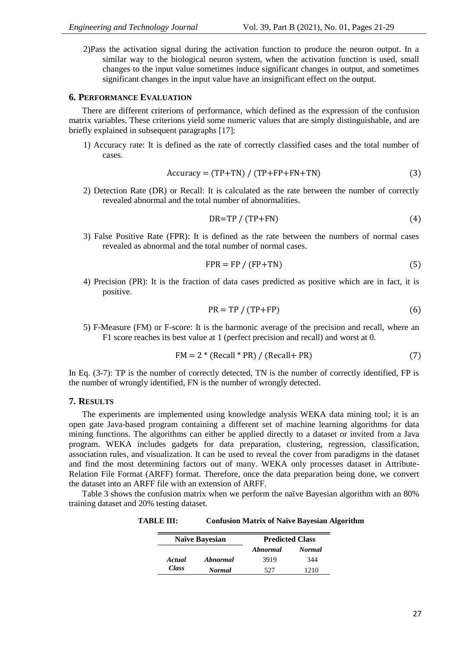2)Pass the activation signal during the activation function to produce the neuron output. In a similar way to the biological neuron system, when the activation function is used, small changes to the input value sometimes induce significant changes in output, and sometimes significant changes in the input value have an insignificant effect on the output.

# **6. PERFORMANCE EVALUATION**

There are different criterions of performance, which defined as the expression of the confusion matrix variables. These criterions yield some numeric values that are simply distinguishable, and are briefly explained in subsequent paragraphs [17]:

1) Accuracy rate: It is defined as the rate of correctly classified cases and the total number of cases.

$$
Accuracy = (TP + TN) / (TP + FP + FN + TN)
$$
\n(3)

2) Detection Rate (DR) or Recall: It is calculated as the rate between the number of correctly revealed abnormal and the total number of abnormalities.

$$
DR = TP / (TP + FN) \tag{4}
$$

3) False Positive Rate (FPR): It is defined as the rate between the numbers of normal cases revealed as abnormal and the total number of normal cases.

$$
FPR = FP / (FP + TN)
$$
 (5)

4) Precision (PR): It is the fraction of data cases predicted as positive which are in fact, it is positive.

$$
PR = TP / (TP + FP)
$$
 (6)

5) F-Measure (FM) or F-score: It is the harmonic average of the precision and recall, where an F1 score reaches its best value at 1 (perfect precision and recall) and worst at 0.

$$
FM = 2 * (Recall * PR) / (Recall + PR)
$$
 (7)

In Eq.  $(3-7)$ : TP is the number of correctly detected. TN is the number of correctly identified, FP is the number of wrongly identified, FN is the number of wrongly detected.

## **7. RESULTS**

The experiments are implemented using knowledge analysis WEKA data mining tool; it is an open gate Java-based program containing a different set of machine learning algorithms for data mining functions. The algorithms can either be applied directly to a dataset or invited from a Java program. WEKA includes gadgets for data preparation, clustering, regression, classification, association rules, and visualization. It can be used to reveal the cover from paradigms in the dataset and find the most determining factors out of many. WEKA only processes dataset in Attribute-Relation File Format (ARFF) format. Therefore, once the data preparation being done, we convert the dataset into an ARFF file with an extension of ARFF.

Table 3 shows the confusion matrix when we perform the naïve Bayesian algorithm with an 80% training dataset and 20% testing dataset.

**TABLE III: Confusion Matrix of Naïve Bayesian Algorithm**

| <b>Naïve Bayesian</b> |               | <b>Predicted Class</b> |               |  |
|-----------------------|---------------|------------------------|---------------|--|
|                       |               | Abnormal               | <b>Normal</b> |  |
| Actual                | Abnormal      | 3919                   | 344           |  |
| <b>Class</b>          | <b>Normal</b> | 527                    | 1210          |  |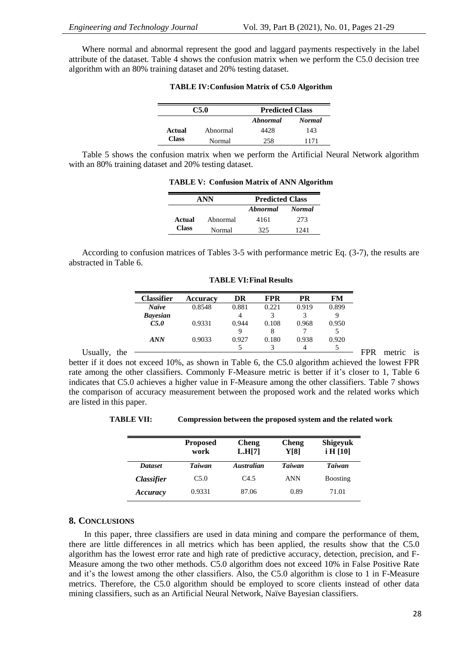Where normal and abnormal represent the good and laggard payments respectively in the label attribute of the dataset. Table 4 shows the confusion matrix when we perform the C5.0 decision tree algorithm with an 80% training dataset and 20% testing dataset.

| C5.0         |          | <b>Predicted Class</b> |               |  |
|--------------|----------|------------------------|---------------|--|
|              |          | Abnormal               | <b>Normal</b> |  |
| Actual       | Abnormal | 4428                   | 143           |  |
| <b>Class</b> | Normal   | 258                    | 1171          |  |

**TABLE IV:Confusion Matrix of C5.0 Algorithm**

Table 5 shows the confusion matrix when we perform the Artificial Neural Network algorithm with an 80% training dataset and 20% testing dataset.

**TABLE V: Confusion Matrix of ANN Algorithm**

| ANN          |          | <b>Predicted Class</b> |               |  |
|--------------|----------|------------------------|---------------|--|
|              |          | Abnormal               | <b>Normal</b> |  |
| Actual       | Abnormal | 4161                   | 273           |  |
| <b>Class</b> | Normal   | 325                    | 1241          |  |

According to confusion matrices of Tables 3-5 with performance metric Eq. (3-7), the results are abstracted in Table 6.

|                 | <b>Classifier</b> | Accuracy | DR    | <b>FPR</b> | PR    | FM    |            |        |           |
|-----------------|-------------------|----------|-------|------------|-------|-------|------------|--------|-----------|
|                 | <b>Naïve</b>      | 0.8548   | 0.881 | 0.221      | 0.919 | 0.899 |            |        |           |
|                 | <b>Bayesian</b>   |          | 4     |            |       | Q     |            |        |           |
|                 | C5.0              | 0.9331   | 0.944 | 0.108      | 0.968 | 0.950 |            |        |           |
|                 |                   |          | Q     | 8          |       |       |            |        |           |
|                 | <b>ANN</b>        | 0.9033   | 0.927 | 0.180      | 0.938 | 0.920 |            |        |           |
|                 |                   |          |       |            | 4     |       |            |        |           |
| Usually.<br>the |                   |          |       |            |       |       | <b>FPR</b> | metric | <b>1S</b> |

**TABLE VI:Final Results**

better if it does not exceed 10%, as shown in Table 6, the C5.0 algorithm achieved the lowest FPR rate among the other classifiers. Commonly F-Measure metric is better if it's closer to 1, Table 6 indicates that C5.0 achieves a higher value in F-Measure among the other classifiers. Table 7 shows the comparison of accuracy measurement between the proposed work and the related works which are listed in this paper.

**TABLE VII: Compression between the proposed system and the related work**

|                          | <b>Proposed</b><br>work | <b>Cheng</b><br>L.H[7] | <b>Cheng</b><br>Y[8] | <b>Shigeyuk</b><br>i H [10] |
|--------------------------|-------------------------|------------------------|----------------------|-----------------------------|
| <b>Dataset</b>           | <b>Taiwan</b>           | <b>Australian</b>      | <b>Taiwan</b>        | <b>Taiwan</b>               |
| <i><b>Classifier</b></i> | C5.0                    | C4.5                   | <b>ANN</b>           | <b>B</b> oosting            |
| Accuracy                 | 0.9331                  | 87.06                  | 0.89                 | 71.01                       |

# **8. CONCLUSIONS**

In this paper, three classifiers are used in data mining and compare the performance of them, there are little differences in all metrics which has been applied, the results show that the C5.0 algorithm has the lowest error rate and high rate of predictive accuracy, detection, precision, and F-Measure among the two other methods. C5.0 algorithm does not exceed 10% in False Positive Rate and it's the lowest among the other classifiers. Also, the C5.0 algorithm is close to 1 in F-Measure metrics. Therefore, the C5.0 algorithm should be employed to score clients instead of other data mining classifiers, such as an Artificial Neural Network, Naïve Bayesian classifiers.